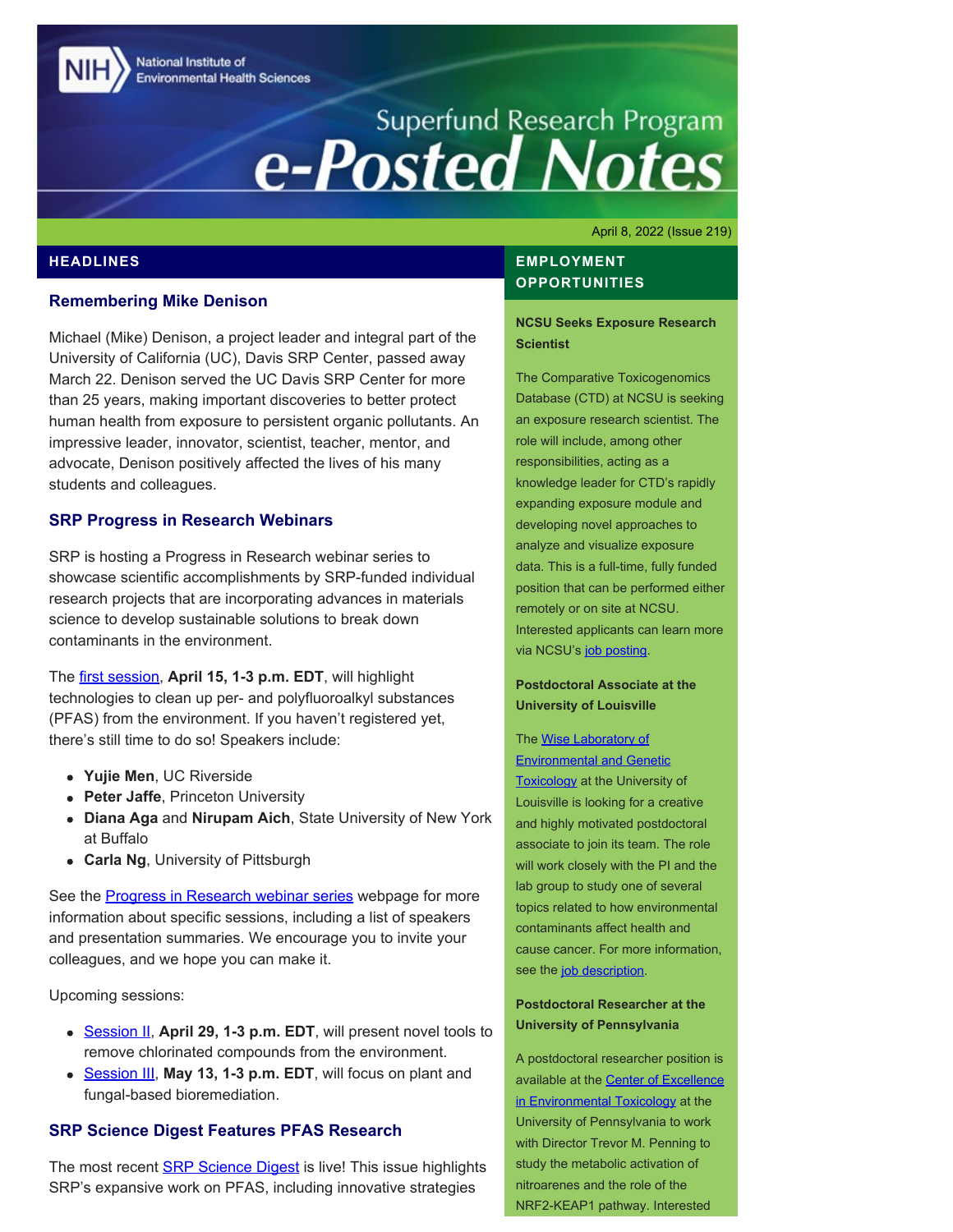National Institute of **Environmental Health Sciences** 

# Superfund Research Program<br> **e-Posted Notes**

April 8, 2022 (Issue 219)

## **HEADLINES**

#### **Remembering Mike Denison**

Michael (Mike) Denison, a project leader and integral part of the University of California (UC), Davis SRP Center, passed away March 22. Denison served the UC Davis SRP Center for more than 25 years, making important discoveries to better protect human health from exposure to persistent organic pollutants. An impressive leader, innovator, scientist, teacher, mentor, and advocate, Denison positively affected the lives of his many students and colleagues.

#### **SRP Progress in Research Webinars**

SRP is hosting a Progress in Research webinar series to showcase scientific accomplishments by SRP-funded individual research projects that are incorporating advances in materials science to develop sustainable solutions to break down contaminants in the environment.

The [first session](https://clu-in.org/training/webinar/srppir16/), **April 15, 1-3 p.m. EDT**, will highlight technologies to clean up per- and polyfluoroalkyl substances (PFAS) from the environment. If you haven't registered yet, there's still time to do so! Speakers include:

- **Yujie Men**, UC Riverside
- **Peter Jaffe**, Princeton University
- **Diana Aga** and **Nirupam Aich**, State University of New York at Buffalo
- **Carla Ng**, University of Pittsburgh

See the [Progress in Research webinar series](https://www.niehs.nih.gov/research/supported/centers/srp/events/inprogresswebinar/Innovative_materials_2022/index.cfm) webpage for more information about specific sessions, including a list of speakers and presentation summaries. We encourage you to invite your colleagues, and we hope you can make it.

Upcoming sessions:

- [Session II,](https://clu-in.org/training/webinar/srppir17/) **April 29, 1-3 p.m. EDT**, will present novel tools to remove chlorinated compounds from the environment.
- **[Session III](https://clu-in.org/training/webinar/srppir18/), May 13, 1-3 p.m. EDT**, will focus on plant and fungal-based bioremediation.

### **SRP Science Digest Features PFAS Research**

The most recent **SRP Science Digest** is live! This issue highlights SRP's expansive work on PFAS, including innovative strategies

## **EMPLOYMENT OPPORTUNITIES**

#### **NCSU Seeks Exposure Research Scientist**

The Comparative Toxicogenomics Database (CTD) at NCSU is seeking an exposure research scientist. The role will include, among other responsibilities, acting as a knowledge leader for CTD's rapidly expanding exposure module and developing novel approaches to analyze and visualize exposure data. This is a full-time, fully funded position that can be performed either remotely or on site at NCSU. Interested applicants can learn more via NCSU's [job posting.](https://jobs.ncsu.edu/postings/158804)

#### **Postdoctoral Associate at the University of Louisville**

The [Wise Laboratory of](https://www.wiselaboratory.org/) **[Environmental and Genetic](https://www.wiselaboratory.org/) Toxicology** at the University of Louisville is looking for a creative and highly motivated postdoctoral associate to join its team. The role will work closely with the PI and the lab group to study one of several topics related to how environmental contaminants affect health and cause cancer. For more information, see the [job description](https://www.higheredjobs.com/institution/details.cfm?JobCode=177793441&Title=Postdoctoral%20Associate%20%28Job%20Id%3A%2042590%29&aID=7137).

#### **Postdoctoral Researcher at the University of Pennsylvania**

A postdoctoral researcher position is available at the [Center of Excellence](https://ceet.upenn.edu/home/) [in Environmental Toxicology](https://ceet.upenn.edu/home/) at the University of Pennsylvania to work with Director Trevor M. Penning to study the metabolic activation of nitroarenes and the role of the NRF2-KEAP1 pathway. Interested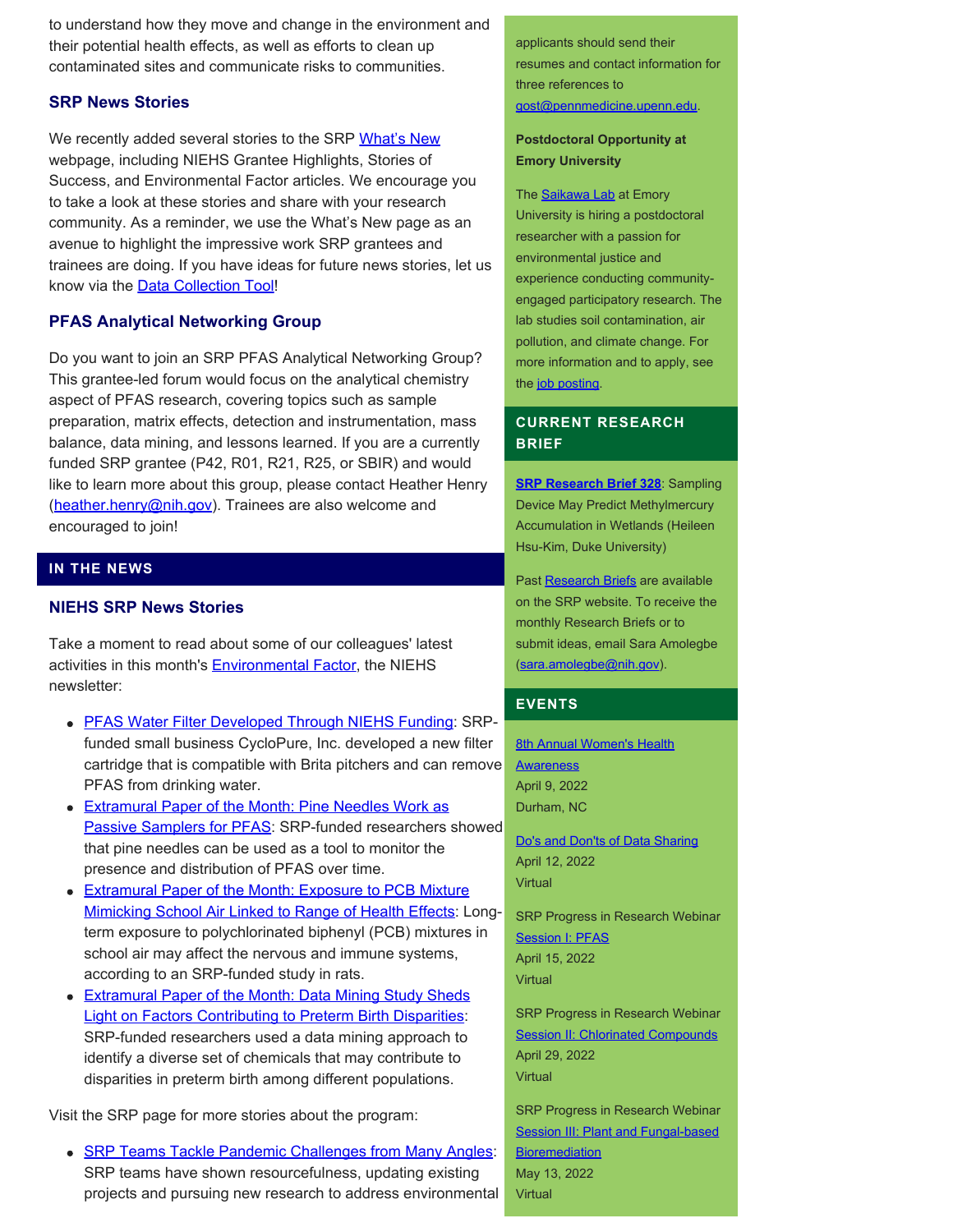to understand how they move and change in the environment and their potential health effects, as well as efforts to clean up contaminated sites and communicate risks to communities.

## **SRP News Stories**

We recently added several stories to the SRP [What's New](https://www.niehs.nih.gov/research/supported/centers/srp/news/index.cfm) webpage, including NIEHS Grantee Highlights, Stories of Success, and Environmental Factor articles. We encourage you to take a look at these stories and share with your research community. As a reminder, we use the What's New page as an avenue to highlight the impressive work SRP grantees and trainees are doing. If you have ideas for future news stories, let us know via the **Data Collection Tool!** 

# **PFAS Analytical Networking Group**

Do you want to join an SRP PFAS Analytical Networking Group? This grantee-led forum would focus on the analytical chemistry aspect of PFAS research, covering topics such as sample preparation, matrix effects, detection and instrumentation, mass balance, data mining, and lessons learned. If you are a currently funded SRP grantee (P42, R01, R21, R25, or SBIR) and would like to learn more about this group, please contact Heather Henry ([heather.henry@nih.gov](mailto:heather.henry@nih.gov)). Trainees are also welcome and encouraged to join!

## **IN THE NEWS**

## **NIEHS SRP News Stories**

Take a moment to read about some of our colleagues' latest activities in this month's **Environmental Factor**, the NIEHS newsletter:

- [PFAS Water Filter Developed Through NIEHS Funding](https://factor.niehs.nih.gov/2022/4/feature/3-feature-pfas-water-filter/index.htm): SRPfunded small business CycloPure, Inc. developed a new filter cartridge that is compatible with Brita pitchers and can remove PFAS from drinking water.
- **[Extramural Paper of the Month: Pine Needles Work as](https://factor.niehs.nih.gov/2022/4/papers/dert/index.htm#a2)** [Passive Samplers for PFAS](https://factor.niehs.nih.gov/2022/4/papers/dert/index.htm#a2): SRP-funded researchers showed that pine needles can be used as a tool to monitor the presence and distribution of PFAS over time.
- **[Extramural Paper of the Month: Exposure to PCB Mixture](https://factor.niehs.nih.gov/2022/4/papers/dert/index.htm#a3)** [Mimicking School Air Linked to Range of Health Effects](https://factor.niehs.nih.gov/2022/4/papers/dert/index.htm#a3): Longterm exposure to polychlorinated biphenyl (PCB) mixtures in school air may affect the nervous and immune systems, according to an SRP-funded study in rats.
- [Extramural Paper of the Month: Data Mining Study Sheds](https://factor.niehs.nih.gov/2022/4/papers/dert/index.htm#a4) [Light on Factors Contributing to Preterm Birth Disparities](https://factor.niehs.nih.gov/2022/4/papers/dert/index.htm#a4): SRP-funded researchers used a data mining approach to identify a diverse set of chemicals that may contribute to disparities in preterm birth among different populations.

Visit the SRP page for more stories about the program:

• [SRP Teams Tackle Pandemic Challenges from Many Angles:](https://www.niehs.nih.gov/research/supported/centers/srp/news/2022news/covid-19/index.cfm) SRP teams have shown resourcefulness, updating existing projects and pursuing new research to address environmental applicants should send their resumes and contact information for three references to [gost@pennmedicine.upenn.edu](mailto:gost@pennmedicine.upenn.edu).

#### **Postdoctoral Opportunity at Emory University**

The **Saikawa Lab** at Emory University is hiring a postdoctoral researcher with a passion for environmental justice and experience conducting communityengaged participatory research. The lab studies soil contamination, air pollution, and climate change. For more information and to apply, see the [job posting](https://faculty-emory.icims.com/jobs/84984/job?mobile=false&width=1140&height=500&bga=true&needsRedirect=false&jan1offset=-300&jun1offset=-240).

## **CURRENT RESEARCH BRIEF**

**[SRP Research Brief 328](https://tools.niehs.nih.gov/srp/researchbriefs/view.cfm?Brief_ID=328)**: Sampling Device May Predict Methylmercury Accumulation in Wetlands (Heileen Hsu-Kim, Duke University)

Past [Research Briefs](http://tools.niehs.nih.gov/srp/researchbriefs/index.cfm) are available on the SRP website. To receive the monthly Research Briefs or to submit ideas, email Sara Amolegbe [\(sara.amolegbe@nih.gov](mailto:sara.amolegbe@nih.gov)).

## **EVENTS**

**[8th Annual Women's Health](https://www.niehs.nih.gov/news/events/whad/index.cfm) [Awareness](https://www.niehs.nih.gov/news/events/whad/index.cfm)** April 9, 2022 Durham, NC

[Do's and Don'ts of Data Sharing](https://www.eventbrite.com/e/hhear-exposomics-webinar-series-dos-and-donts-of-data-sharing-tickets-288740439427) April 12, 2022 Virtual

SRP Progress in Research Webinar **[Session I: PFAS](https://clu-in.org/training/webinar/srppir16/)** April 15, 2022 Virtual

SRP Progress in Research Webinar **[Session II: Chlorinated Compounds](https://clu-in.org/training/webinar/srppir17/)** April 29, 2022 Virtual

SRP Progress in Research Webinar **[Session III: Plant and Fungal-based](https://clu-in.org/training/webinar/srppir18/) [Bioremediation](https://clu-in.org/training/webinar/srppir18/)** May 13, 2022 Virtual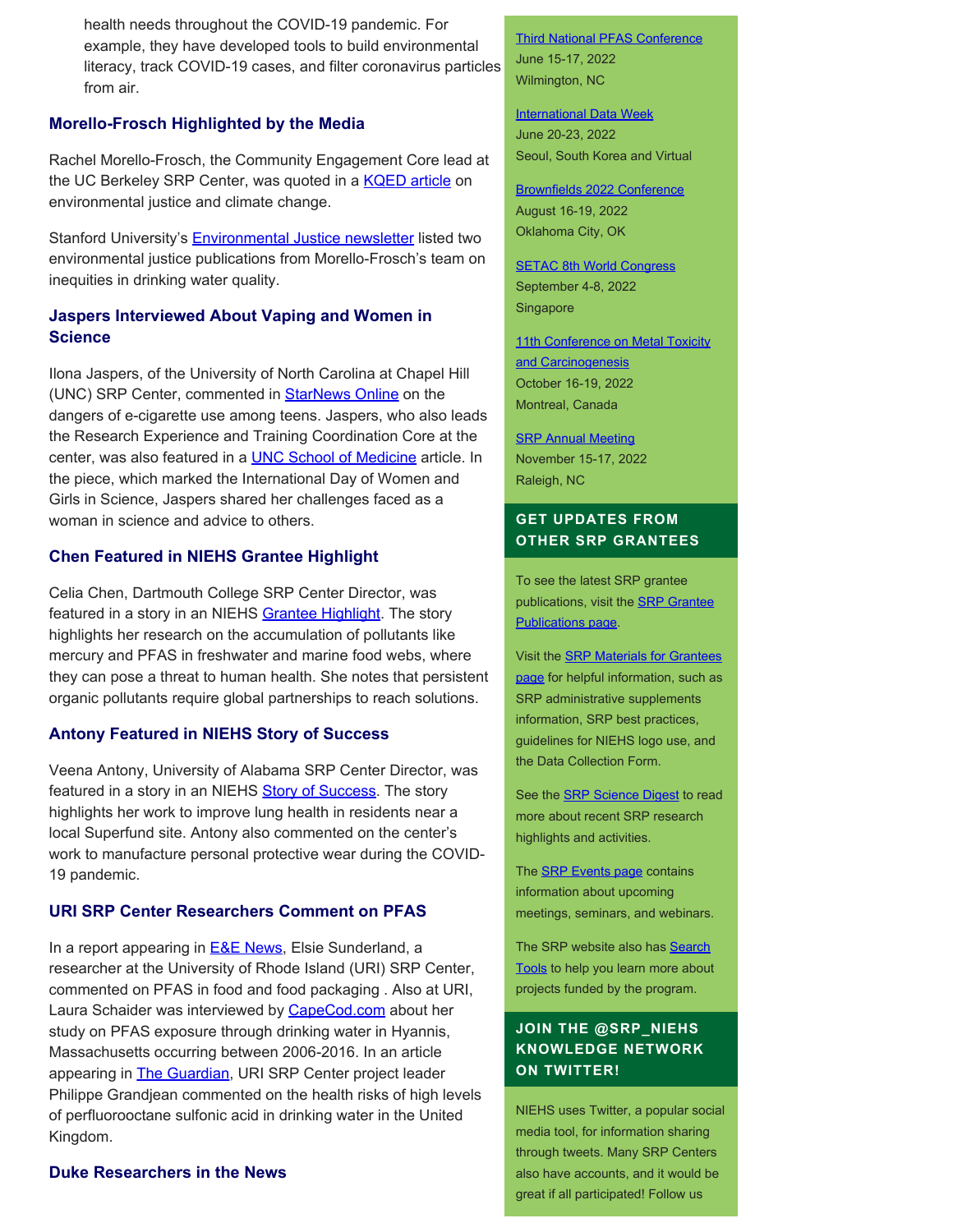health needs throughout the COVID-19 pandemic. For example, they have developed tools to build environmental literacy, track COVID-19 cases, and filter coronavirus particles from air.

## **Morello-Frosch Highlighted by the Media**

Rachel Morello-Frosch, the Community Engagement Core lead at the UC Berkeley SRP Center, was quoted in a [KQED article](https://www.kqed.org/science/1978580/new-sea-level-predictions-show-need-for-environmental-justice-in-climate-change-planning) on environmental justice and climate change.

Stanford University's **Environmental Justice newsletter** listed two environmental justice publications from Morello-Frosch's team on inequities in drinking water quality.

## **Jaspers Interviewed About Vaping and Women in Science**

Ilona Jaspers, of the University of North Carolina at Chapel Hill (UNC) SRP Center, commented in **StarNews Online** on the dangers of e-cigarette use among teens. Jaspers, who also leads the Research Experience and Training Coordination Core at the center, was also featured in a **UNC School of Medicine** article. In the piece, which marked the International Day of Women and Girls in Science, Jaspers shared her challenges faced as a woman in science and advice to others.

## **Chen Featured in NIEHS Grantee Highlight**

Celia Chen, Dartmouth College SRP Center Director, was featured in a story in an NIEHS [Grantee Highlight](https://www.niehs.nih.gov/research/supported/translational/peph/grantee-highlights/2022/index.cfm#a931986). The story highlights her research on the accumulation of pollutants like mercury and PFAS in freshwater and marine food webs, where they can pose a threat to human health. She notes that persistent organic pollutants require global partnerships to reach solutions.

#### **Antony Featured in NIEHS Story of Success**

Veena Antony, University of Alabama SRP Center Director, was featured in a story in an NIEHS **Story of Success**. The story highlights her work to improve lung health in residents near a local Superfund site. Antony also commented on the center's work to manufacture personal protective wear during the COVID-19 pandemic.

#### **URI SRP Center Researchers Comment on PFAS**

In a report appearing in **E&E News**, Elsie Sunderland, a researcher at the University of Rhode Island (URI) SRP Center, commented on PFAS in food and food packaging . Also at URI, Laura Schaider was interviewed by [CapeCod.com](https://www.capecod.com/newscenter/sunday-journal-hyannis-pfas-study-investigates-long-term-health-risks/) about her study on PFAS exposure through drinking water in Hyannis, Massachusetts occurring between 2006-2016. In an article appearing in **[The Guardian](https://www.theguardian.com/environment/2022/feb/08/high-levels-of-toxic-chemicals-found-in-cambridgeshire-drinking-water)**, URI SRP Center project leader Philippe Grandjean commented on the health risks of high levels of perfluorooctane sulfonic acid in drinking water in the United Kingdom.

## **Duke Researchers in the News**

## [Third National PFAS Conference](https://pfasmeeting.wordpress.ncsu.edu/) June 15-17, 2022 Wilmington, NC

**[International Data Week](https://internationaldataweek.org/)** June 20-23, 2022 Seoul, South Korea and Virtual

[Brownfields 2022 Conference](https://brownfields2021.org/about/conference-overview/) August 16-19, 2022 Oklahoma City, OK

**[SETAC 8th World Congress](https://singapore.setac.org/)** September 4-8, 2022 Singapore

[11th Conference on Metal Toxicity](https://www.fourwav.es/view/1725/info/) [and Carcinogenesis](https://www.fourwav.es/view/1725/info/) October 16-19, 2022 Montreal, Canada

**[SRP Annual Meeting](https://conferences.coned.ncsu.edu/srp2021/)** November 15-17, 2022 Raleigh, NC

## **GET UPDATES FROM OTHER SRP GRANTEES**

To see the latest SRP grantee publications, visit the **[SRP Grantee](https://tools.niehs.nih.gov/srp/publications/granteepublications.cfm)** [Publications page.](https://tools.niehs.nih.gov/srp/publications/granteepublications.cfm)

Visit the [SRP Materials for Grantees](https://www.niehs.nih.gov/research/supported/centers/srp/resources/index.cfm) [page](https://www.niehs.nih.gov/research/supported/centers/srp/resources/index.cfm) for helpful information, such as SRP administrative supplements information, SRP best practices, guidelines for NIEHS logo use, and the Data Collection Form.

See the **SRP Science Digest** to read more about recent SRP research highlights and activities.

The **SRP Events page** contains information about upcoming meetings, seminars, and webinars.

The SRP website also has [Search](http://tools.niehs.nih.gov/srp/search/index.cfm) [Tools](http://tools.niehs.nih.gov/srp/search/index.cfm) to help you learn more about projects funded by the program.

# **JOIN THE @SRP\_NIEHS KNOWLEDGE NETWORK ON TWITTER!**

NIEHS uses Twitter, a popular social media tool, for information sharing through tweets. Many SRP Centers also have accounts, and it would be great if all participated! Follow us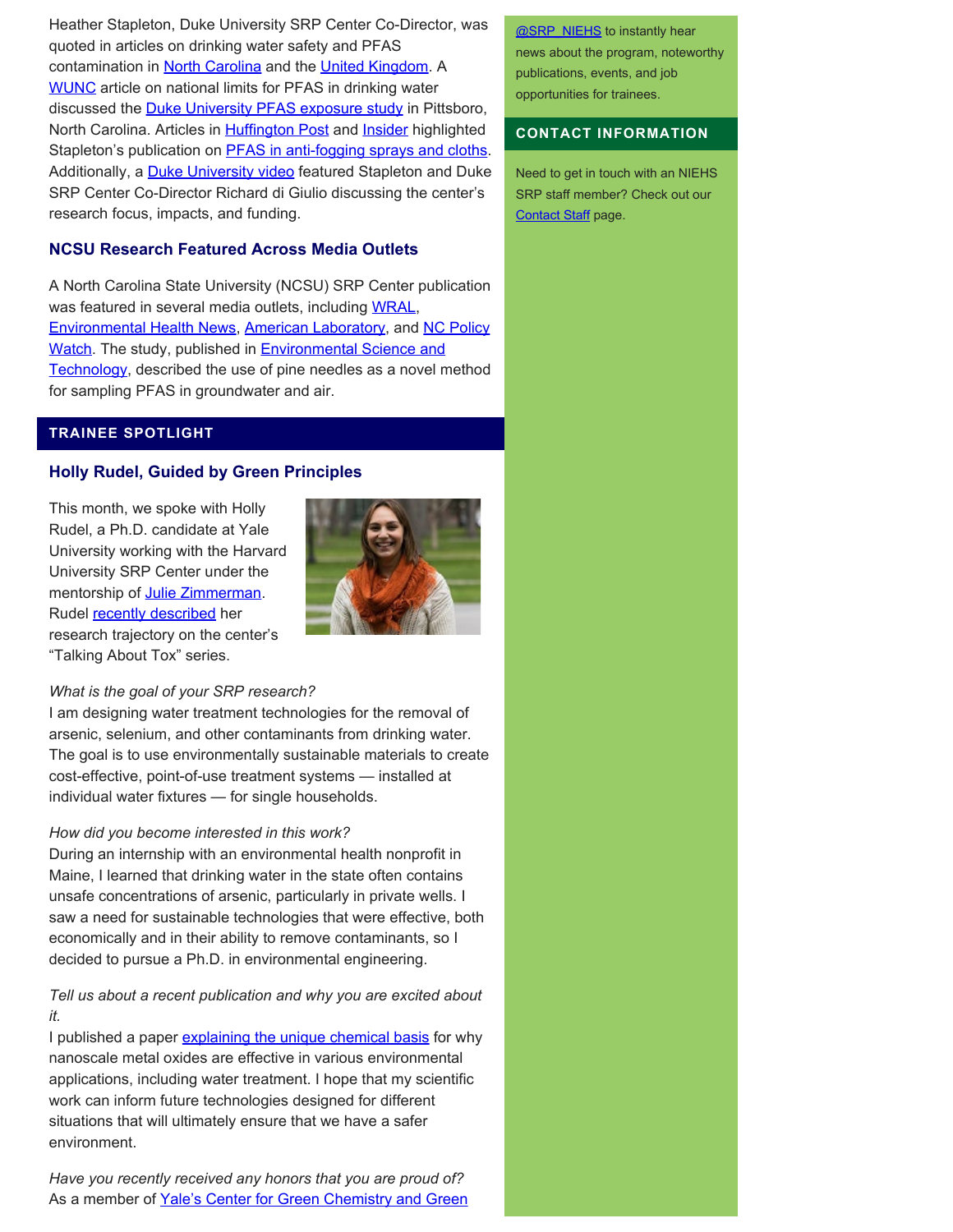Heather Stapleton, Duke University SRP Center Co-Director, was quoted in articles on drinking water safety and PFAS contamination in [North Carolina](https://www.fayobserver.com/story/news/2021/12/16/nc-answers-how-safe-drink-tap-water-north-carolina/8649916002/) and the [United Kingdom](https://metro.co.uk/2021/11/20/is-filtered-water-actually-any-better-for-you-than-tap-water-15563069/). A [WUNC](https://www.wunc.org/environment/2021-10-19/epa-plans-pfas-limit-drinking-water-accelerate-cleanup-regan-north-carolina) article on national limits for PFAS in drinking water discussed the **[Duke University PFAS exposure study](https://sites.nicholas.duke.edu/pfas/pfas-research-in-pittsboro-nc/pfas-study-results/)** in Pittsboro, North Carolina. Articles in **Huffington Post** and **Insider** highlighted Stapleton's publication on **PFAS** in anti-fogging sprays and cloths. Additionally, a **[Duke University video](https://www.youtube.com/watch?v=CC5BCawh4l8)** featured Stapleton and Duke SRP Center Co-Director Richard di Giulio discussing the center's research focus, impacts, and funding.

## **NCSU Research Featured Across Media Outlets**

A North Carolina State University (NCSU) SRP Center publication was featured in several media outlets, including [WRAL](https://www.wral.com/nc-state-researchers-using-pine-needles-to-study-forever-chemicals/20152027/), [Environmental Health News,](https://www.ehn.org/pfas-in-air-2656884392.html) [American Laboratory,](https://www.americanlaboratory.com/617-News/583669-Pine-Needles-Provide-Insights-into-50-Years-of-PFAS-Contamination/) and [NC Policy](https://pulse.ncpolicywatch.org/2022/03/01/pine-needles-can-contain-toxic-pfas-compounds-according-to-nc-state-study/#sthash.eaHrw1FR.dpbs) [Watch](https://pulse.ncpolicywatch.org/2022/03/01/pine-needles-can-contain-toxic-pfas-compounds-according-to-nc-state-study/#sthash.eaHrw1FR.dpbs). The study, published in **Environmental Science and** [Technology,](https://pubs.acs.org/doi/abs/10.1021/acs.est.1c06483) described the use of pine needles as a novel method for sampling PFAS in groundwater and air.

## **TRAINEE SPOTLIGHT**

#### **Holly Rudel, Guided by Green Principles**

This month, we spoke with Holly Rudel, a Ph.D. candidate at Yale University working with the Harvard University SRP Center under the mentorship of [Julie Zimmerman](https://zimmermanlab.yale.edu/). Rudel [recently described](https://memcare.sph.harvard.edu/news/talking-about-tox-their-words-project-4) her research trajectory on the center's "Talking About Tox" series.



#### *What is the goal of your SRP research?*

I am designing water treatment technologies for the removal of arsenic, selenium, and other contaminants from drinking water. The goal is to use environmentally sustainable materials to create cost-effective, point-of-use treatment systems — installed at individual water fixtures — for single households.

#### *How did you become interested in this work?*

During an internship with an environmental health nonprofit in Maine, I learned that drinking water in the state often contains unsafe concentrations of arsenic, particularly in private wells. I saw a need for sustainable technologies that were effective, both economically and in their ability to remove contaminants, so I decided to pursue a Ph.D. in environmental engineering.

## *Tell us about a recent publication and why you are excited about it.*

I published a paper [explaining the unique chemical basis](https://pubs.acs.org/doi/10.1021/acsnano.0c08356) for why nanoscale metal oxides are effective in various environmental applications, including water treatment. I hope that my scientific work can inform future technologies designed for different situations that will ultimately ensure that we have a safer environment.

*Have you recently received any honors that you are proud of?* As a member of [Yale's Center for Green Chemistry and Green](https://greenchemistry.yale.edu/)

**@SRP\_NIEHS** to instantly hear news about the program, noteworthy publications, events, and job opportunities for trainees.

#### **CONTACT INFORMATION**

Need to get in touch with an NIEHS SRP staff member? Check out our [Contact Staff](https://www.niehs.nih.gov/research/supported/centers/srp/about/contact_us/index.cfm) page.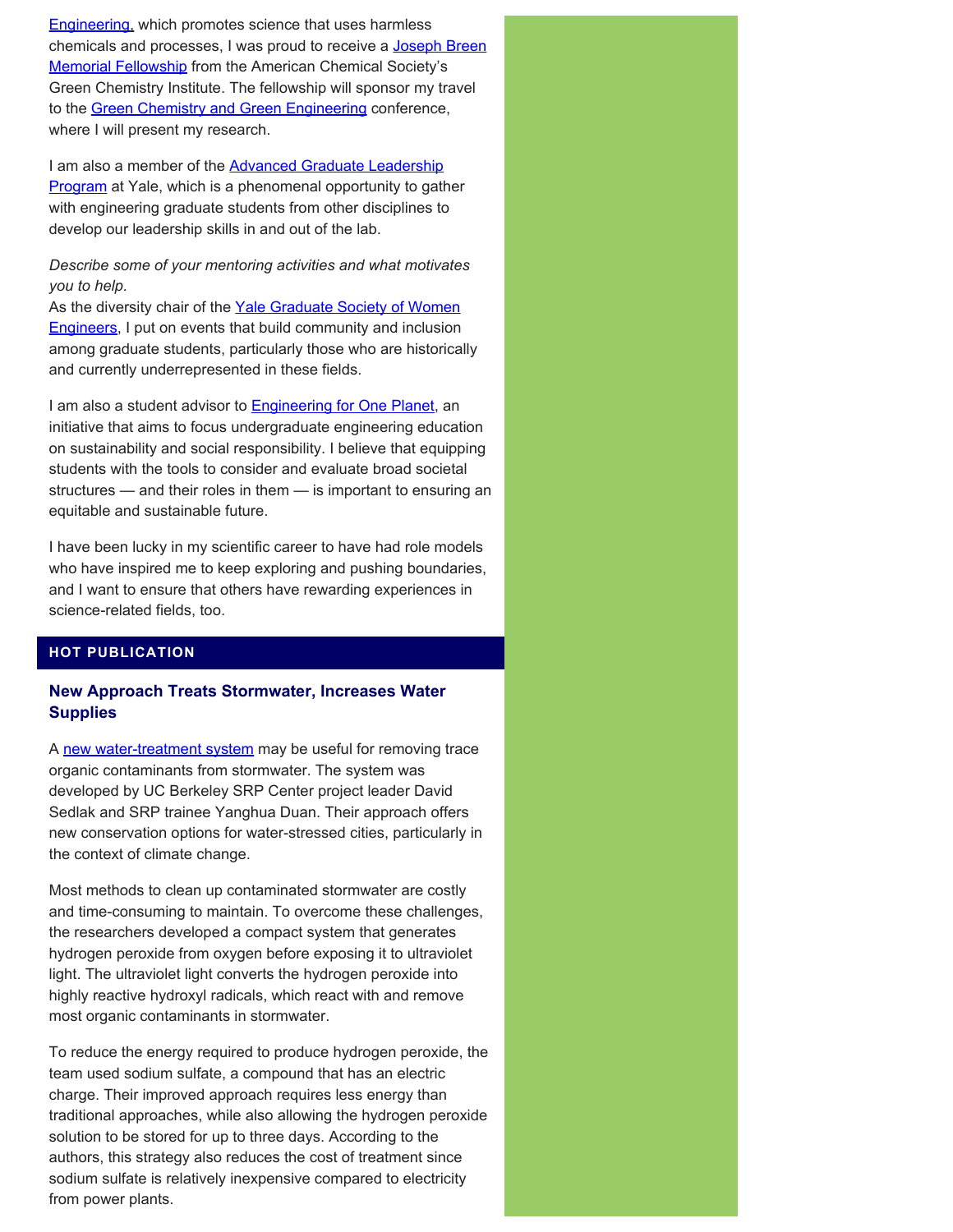[Engineering,](https://greenchemistry.yale.edu/) which promotes science that uses harmless chemicals and processes, I was proud to receive a [Joseph Breen](https://www.acs.org/content/acs/en/funding/scholarships-fellowships/joseph-breen-memorial-fellowship.html) [Memorial Fellowship](https://www.acs.org/content/acs/en/funding/scholarships-fellowships/joseph-breen-memorial-fellowship.html) from the American Chemical Society's Green Chemistry Institute. The fellowship will sponsor my travel to the [Green Chemistry and Green Engineering](https://www.gcande.org/) conference, where I will present my research.

I am also a member of the **Advanced Graduate Leadership Program** at Yale, which is a phenomenal opportunity to gather with engineering graduate students from other disciplines to develop our leadership skills in and out of the lab.

*Describe some of your mentoring activities and what motivates you to help.*

As the diversity chair of the [Yale Graduate Society of Women](https://swe.sites.yale.edu/) [Engineers,](https://swe.sites.yale.edu/) I put on events that build community and inclusion among graduate students, particularly those who are historically and currently underrepresented in these fields.

I am also a student advisor to **Engineering for One Planet**, an initiative that aims to focus undergraduate engineering education on sustainability and social responsibility. I believe that equipping students with the tools to consider and evaluate broad societal structures — and their roles in them — is important to ensuring an equitable and sustainable future.

I have been lucky in my scientific career to have had role models who have inspired me to keep exploring and pushing boundaries, and I want to ensure that others have rewarding experiences in science-related fields, too.

## **HOT PUBLICATION**

## **New Approach Treats Stormwater, Increases Water Supplies**

A [new water-treatment system](https://www.sciencedirect.com/science/article/pii/S2589914721000402) may be useful for removing trace organic contaminants from stormwater. The system was developed by UC Berkeley SRP Center project leader David Sedlak and SRP trainee Yanghua Duan. Their approach offers new conservation options for water-stressed cities, particularly in the context of climate change.

Most methods to clean up contaminated stormwater are costly and time-consuming to maintain. To overcome these challenges, the researchers developed a compact system that generates hydrogen peroxide from oxygen before exposing it to ultraviolet light. The ultraviolet light converts the hydrogen peroxide into highly reactive hydroxyl radicals, which react with and remove most organic contaminants in stormwater.

To reduce the energy required to produce hydrogen peroxide, the team used sodium sulfate, a compound that has an electric charge. Their improved approach requires less energy than traditional approaches, while also allowing the hydrogen peroxide solution to be stored for up to three days. According to the authors, this strategy also reduces the cost of treatment since sodium sulfate is relatively inexpensive compared to electricity from power plants.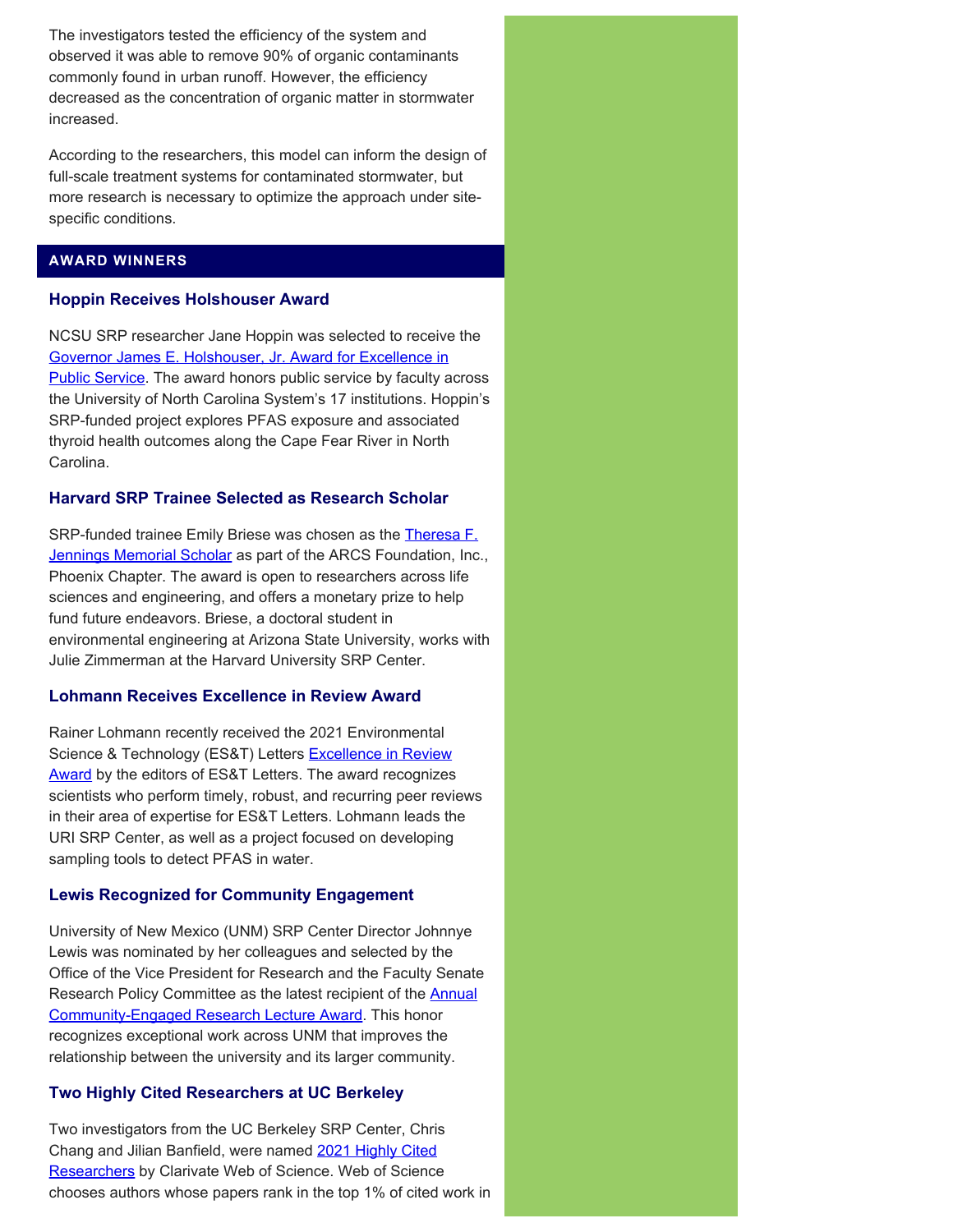The investigators tested the efficiency of the system and observed it was able to remove 90% of organic contaminants commonly found in urban runoff. However, the efficiency decreased as the concentration of organic matter in stormwater increased.

According to the researchers, this model can inform the design of full-scale treatment systems for contaminated stormwater, but more research is necessary to optimize the approach under sitespecific conditions.

# **AWARD WINNERS**

## **Hoppin Receives Holshouser Award**

NCSU SRP researcher Jane Hoppin was selected to receive the [Governor James E. Holshouser, Jr. Award for Excellence in](https://www.northcarolina.edu/news/unc-board-of-governors-announces-two-winners-of-the-governor-james-e-holshouser-jr-award/) [Public Service.](https://www.northcarolina.edu/news/unc-board-of-governors-announces-two-winners-of-the-governor-james-e-holshouser-jr-award/) The award honors public service by faculty across the University of North Carolina System's 17 institutions. Hoppin's SRP-funded project explores PFAS exposure and associated thyroid health outcomes along the Cape Fear River in North Carolina.

## **Harvard SRP Trainee Selected as Research Scholar**

SRP-funded trainee Emily Briese was chosen as the [Theresa F.](https://memcare.sph.harvard.edu/news/emily-briese-selected-arcs-foundation-theresa-f-jennings-memorial-scholar) [Jennings Memorial Scholar](https://memcare.sph.harvard.edu/news/emily-briese-selected-arcs-foundation-theresa-f-jennings-memorial-scholar) as part of the ARCS Foundation, Inc., Phoenix Chapter. The award is open to researchers across life sciences and engineering, and offers a monetary prize to help fund future endeavors. Briese, a doctoral student in environmental engineering at Arizona State University, works with Julie Zimmerman at the Harvard University SRP Center.

## **Lohmann Receives Excellence in Review Award**

Rainer Lohmann recently received the 2021 Environmental Science & Technology (ES&T) Letters **Excellence in Review** [Award](https://pubs.acs.org/doi/10.1021/acs.estlett.2c00118) by the editors of ES&T Letters. The award recognizes scientists who perform timely, robust, and recurring peer reviews in their area of expertise for ES&T Letters. Lohmann leads the URI SRP Center, as well as a project focused on developing sampling tools to detect PFAS in water.

## **Lewis Recognized for Community Engagement**

University of New Mexico (UNM) SRP Center Director Johnnye Lewis was nominated by her colleagues and selected by the Office of the Vice President for Research and the Faculty Senate Research Policy Committee as the latest recipient of the [Annual](https://research.unm.edu/cerl) [Community-Engaged Research Lecture Award](https://research.unm.edu/cerl). This honor recognizes exceptional work across UNM that improves the relationship between the university and its larger community.

#### **Two Highly Cited Researchers at UC Berkeley**

Two investigators from the UC Berkeley SRP Center, Chris Chang and Jilian Banfield, were named [2021 Highly Cited](https://insights2techinfo.com/2021-highly-cited-researchers-by-clarivate-web-of-science/) [Researchers](https://insights2techinfo.com/2021-highly-cited-researchers-by-clarivate-web-of-science/) by Clarivate Web of Science. Web of Science chooses authors whose papers rank in the top 1% of cited work in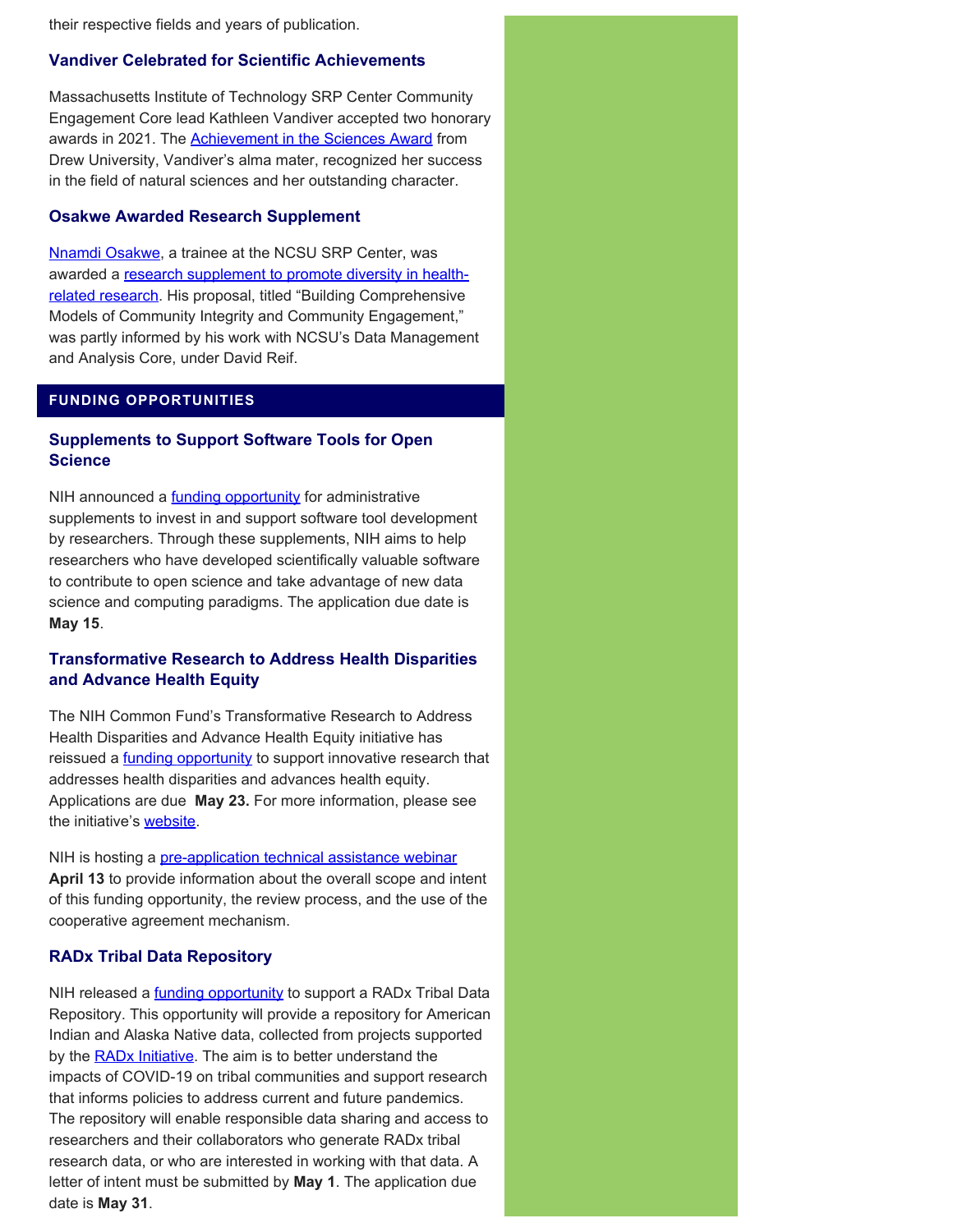their respective fields and years of publication.

#### **Vandiver Celebrated for Scientific Achievements**

Massachusetts Institute of Technology SRP Center Community Engagement Core lead Kathleen Vandiver accepted two honorary awards in 2021. The [Achievement in the Sciences Award](https://drew.edu/advancement/alumni/alumni-awards/) from Drew University, Vandiver's alma mater, recognized her success in the field of natural sciences and her outstanding character.

### **Osakwe Awarded Research Supplement**

[Nnamdi Osakwe](https://superfund.ncsu.edu/news/2785/), a trainee at the NCSU SRP Center, was awarded a [research supplement to promote diversity in health](https://grants.nih.gov/grants/guide/pa-files/PA-21-071.html)[related research.](https://grants.nih.gov/grants/guide/pa-files/PA-21-071.html) His proposal, titled "Building Comprehensive Models of Community Integrity and Community Engagement," was partly informed by his work with NCSU's Data Management and Analysis Core, under David Reif.

#### **FUNDING OPPORTUNITIES**

## **Supplements to Support Software Tools for Open Science**

NIH announced a **funding opportunity** for administrative supplements to invest in and support software tool development by researchers. Through these supplements, NIH aims to help researchers who have developed scientifically valuable software to contribute to open science and take advantage of new data science and computing paradigms. The application due date is **May 15**.

## **Transformative Research to Address Health Disparities and Advance Health Equity**

The NIH Common Fund's Transformative Research to Address Health Disparities and Advance Health Equity initiative has reissued a **funding opportunity** to support innovative research that addresses health disparities and advances health equity. Applications are due **May 23.** For more information, please see the initiative's [website](https://commonfund.nih.gov/healthdisparitiestransformation).

NIH is hosting a [pre-application technical assistance webinar](https://roseliassociates.zoomgov.com/webinar/register/WN_tTqbjVyKS9-pnWyOKMEq0Q) **April 13** to provide information about the overall scope and intent of this funding opportunity, the review process, and the use of the cooperative agreement mechanism.

#### **RADx Tribal Data Repository**

NIH released a *funding opportunity* to support a RADx Tribal Data Repository. This opportunity will provide a repository for American Indian and Alaska Native data, collected from projects supported by the **RADx Initiative**. The aim is to better understand the impacts of COVID-19 on tribal communities and support research that informs policies to address current and future pandemics. The repository will enable responsible data sharing and access to researchers and their collaborators who generate RADx tribal research data, or who are interested in working with that data. A letter of intent must be submitted by **May 1**. The application due date is **May 31**.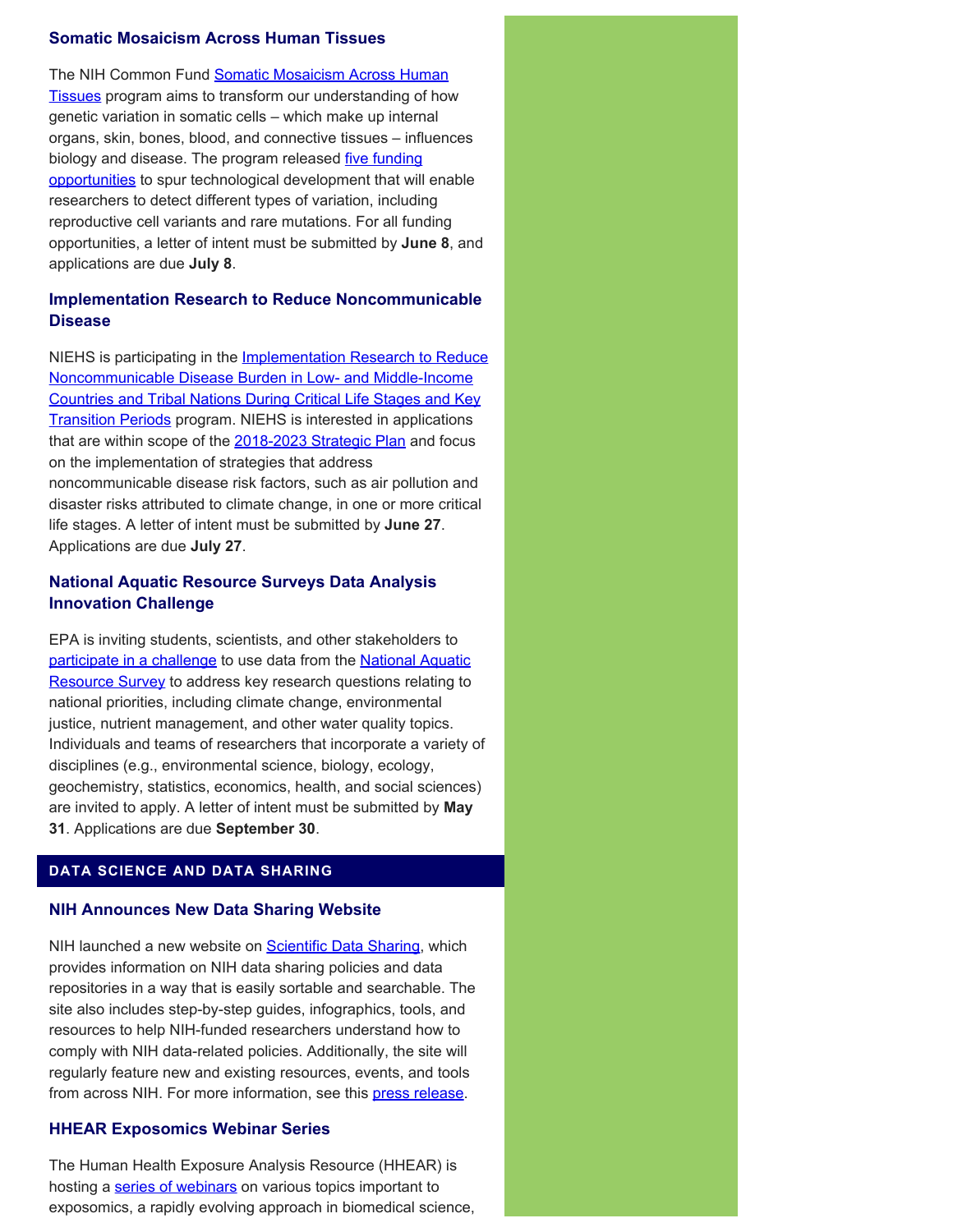#### **Somatic Mosaicism Across Human Tissues**

The NIH Common Fund [Somatic Mosaicism Across Human](https://commonfund.nih.gov/smaht) [Tissues](https://commonfund.nih.gov/smaht) program aims to transform our understanding of how genetic variation in somatic cells – which make up internal organs, skin, bones, blood, and connective tissues – influences biology and disease. The program released [five funding](https://commonfund.nih.gov/smaht/fundingopportunities) [opportunities](https://commonfund.nih.gov/smaht/fundingopportunities) to spur technological development that will enable researchers to detect different types of variation, including reproductive cell variants and rare mutations. For all funding opportunities, a letter of intent must be submitted by **June 8**, and applications are due **July 8**.

# **Implementation Research to Reduce Noncommunicable Disease**

NIEHS is participating in the **Implementation Research to Reduce** [Noncommunicable Disease Burden in Low- and Middle-Income](https://grants.nih.gov/grants/guide/pa-files/PAR-22-132.html) [Countries and Tribal Nations During Critical Life Stages and Key](https://grants.nih.gov/grants/guide/pa-files/PAR-22-132.html) **[Transition Periods](https://grants.nih.gov/grants/guide/pa-files/PAR-22-132.html) program. NIEHS is interested in applications** that are within scope of the [2018-2023 Strategic Plan](https://www.niehs.nih.gov/about/strategicplan/index.cfm) and focus on the implementation of strategies that address noncommunicable disease risk factors, such as air pollution and disaster risks attributed to climate change, in one or more critical life stages. A letter of intent must be submitted by **June 27**. Applications are due **July 27**.

## **National Aquatic Resource Surveys Data Analysis Innovation Challenge**

EPA is inviting students, scientists, and other stakeholders to [participate in a challenge](https://www.epa.gov/innovation/national-aquatic-resource-surveys-data-analysis-innovation-challenge) to use data from the [National Aquatic](https://www.epa.gov/national-aquatic-resource-surveys) [Resource Survey](https://www.epa.gov/national-aquatic-resource-surveys) to address key research questions relating to national priorities, including climate change, environmental justice, nutrient management, and other water quality topics. Individuals and teams of researchers that incorporate a variety of disciplines (e.g., environmental science, biology, ecology, geochemistry, statistics, economics, health, and social sciences) are invited to apply. A letter of intent must be submitted by **May 31**. Applications are due **September 30**.

## **DATA SCIENCE AND DATA SHARING**

#### **NIH Announces New Data Sharing Website**

NIH launched a new website on **Scientific Data Sharing**, which provides information on NIH data sharing policies and data repositories in a way that is easily sortable and searchable. The site also includes step-by-step guides, infographics, tools, and resources to help NIH-funded researchers understand how to comply with NIH data-related policies. Additionally, the site will regularly feature new and existing resources, events, and tools from across NIH. For more information, see this [press release](https://nexus.od.nih.gov/all/2022/04/05/introducing-nihs-new-scientific-data-sharing-website/).

## **HHEAR Exposomics Webinar Series**

The Human Health Exposure Analysis Resource (HHEAR) is hosting a [series of webinars](https://hhearprogram.org/hhear-exposomics-webinar-series?utm_source=HHEAR+Email&utm_medium=Email&utm_campaign=NewWebinars&utm_id=Webinar) on various topics important to exposomics, a rapidly evolving approach in biomedical science,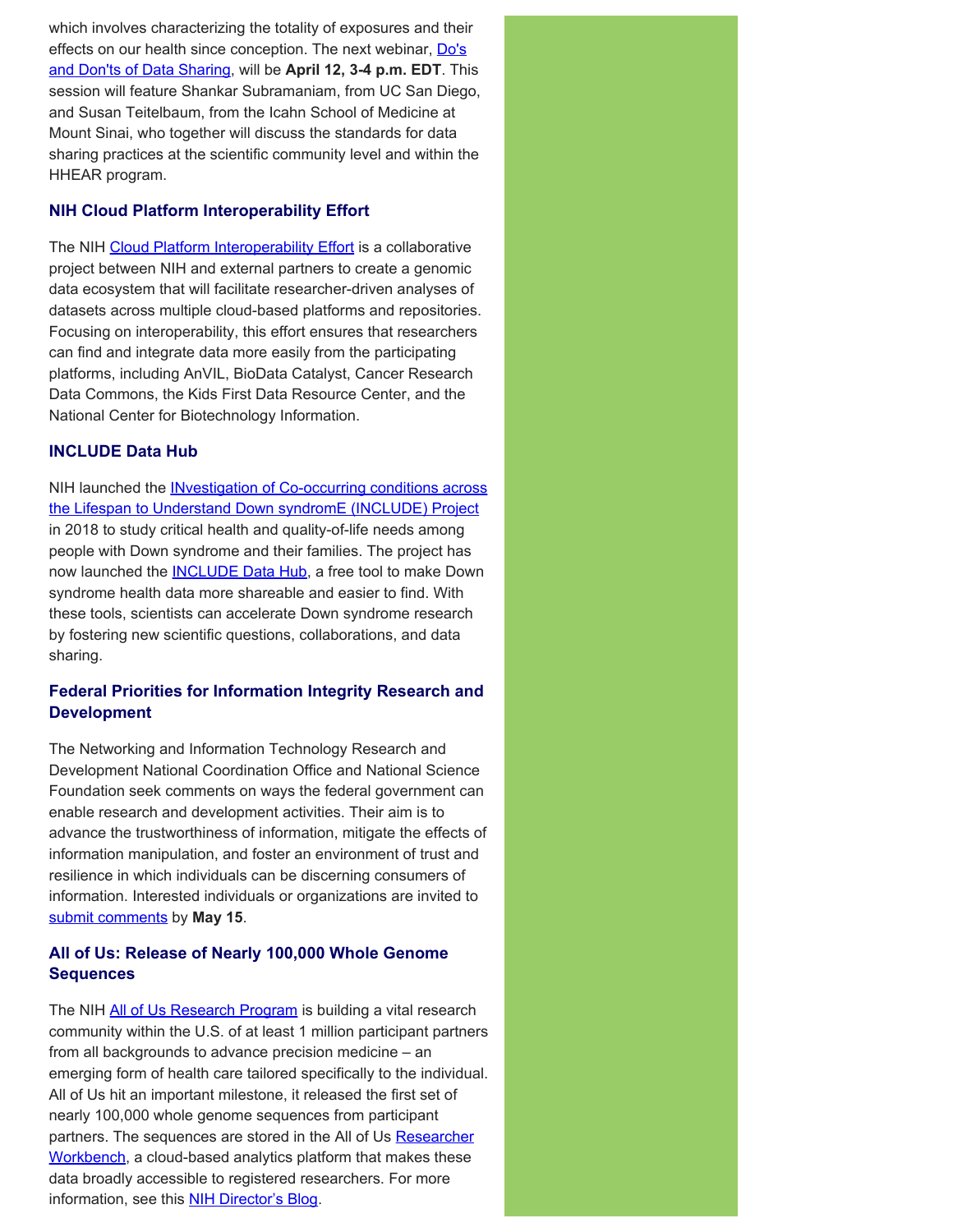which involves characterizing the totality of exposures and their effects on our health since conception. The next webinar, [Do's](https://www.eventbrite.com/e/hhear-exposomics-webinar-series-dos-and-donts-of-data-sharing-tickets-288740439427) [and Don'ts of Data Sharing](https://www.eventbrite.com/e/hhear-exposomics-webinar-series-dos-and-donts-of-data-sharing-tickets-288740439427), will be **April 12, 3-4 p.m. EDT**. This session will feature Shankar Subramaniam, from UC San Diego, and Susan Teitelbaum, from the Icahn School of Medicine at Mount Sinai, who together will discuss the standards for data sharing practices at the scientific community level and within the HHEAR program.

# **NIH Cloud Platform Interoperability Effort**

The NIH [Cloud Platform Interoperability Effort](https://datascience.nih.gov/nih-cloud-platform-interoperability-effort) is a collaborative project between NIH and external partners to create a genomic data ecosystem that will facilitate researcher-driven analyses of datasets across multiple cloud-based platforms and repositories. Focusing on interoperability, this effort ensures that researchers can find and integrate data more easily from the participating platforms, including AnVIL, BioData Catalyst, Cancer Research Data Commons, the Kids First Data Resource Center, and the National Center for Biotechnology Information.

## **INCLUDE Data Hub**

NIH launched the [INvestigation of Co-occurring conditions across](https://www.nih.gov/include-project) [the Lifespan to Understand Down syndromE \(INCLUDE\) Project](https://www.nih.gov/include-project) in 2018 to study critical health and quality-of-life needs among people with Down syndrome and their families. The project has now launched the **INCLUDE Data Hub**, a free tool to make Down syndrome health data more shareable and easier to find. With these tools, scientists can accelerate Down syndrome research by fostering new scientific questions, collaborations, and data sharing.

# **Federal Priorities for Information Integrity Research and Development**

The Networking and Information Technology Research and Development National Coordination Office and National Science Foundation seek comments on ways the federal government can enable research and development activities. Their aim is to advance the trustworthiness of information, mitigate the effects of information manipulation, and foster an environment of trust and resilience in which individuals can be discerning consumers of information. Interested individuals or organizations are invited to [submit comments](https://www.federalregister.gov/documents/2022/03/17/2022-05683/request-for-information-on-federal-priorities-for-information-integrity-research-and-development) by **May 15**.

# **All of Us: Release of Nearly 100,000 Whole Genome Sequences**

The NIH [All of Us Research Program](https://directorsblog.nih.gov/2018/05/11/all-of-us-launch/) is building a vital research community within the U.S. of at least 1 million participant partners from all backgrounds to advance precision medicine – an emerging form of health care tailored specifically to the individual. All of Us hit an important milestone, it released the first set of nearly 100,000 whole genome sequences from participant partners. The sequences are stored in the All of Us [Researcher](https://www.researchallofus.org/data-tools/workbench/) [Workbench,](https://www.researchallofus.org/data-tools/workbench/) a cloud-based analytics platform that makes these data broadly accessible to registered researchers. For more information, see this **NIH Director's Blog.**